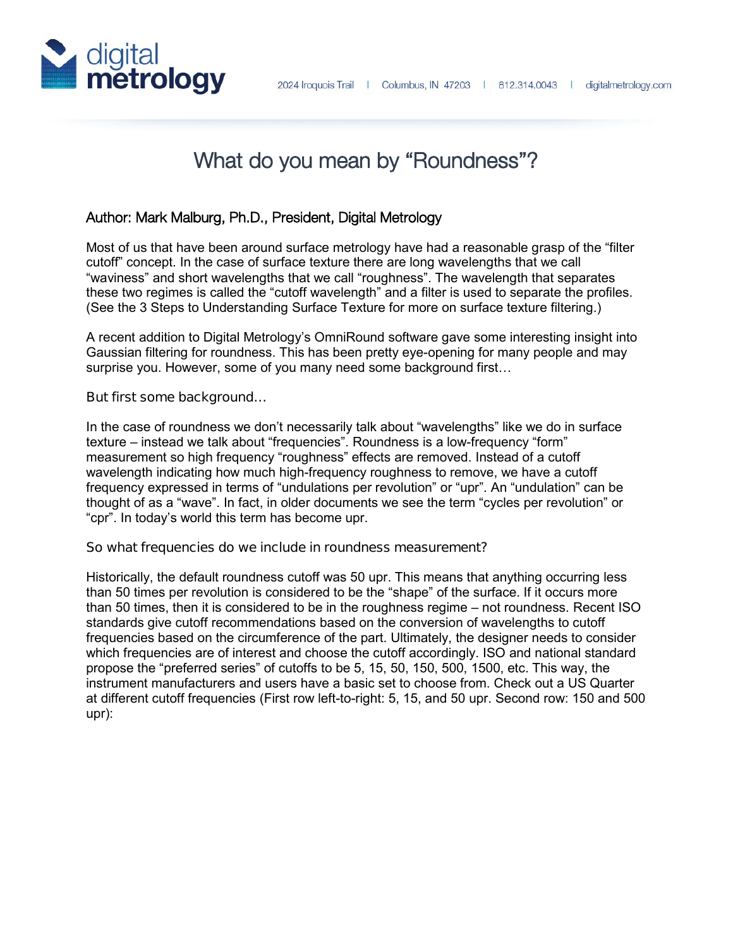

# What do you mean by "Roundness"?

## Author: Mark Malburg, Ph.D., President, Digital Metrology

Most of us that have been around surface metrology have had a reasonable grasp of the "filter cutoff" concept. In the case of surface texture there are long wavelengths that we call "waviness" and short wavelengths that we call "roughness". The wavelength that separates these two regimes is called the "cutoff wavelength" and a filter is used to separate the profiles. (See the 3 Steps to Understanding Surface Texture for more on surface texture filtering.)

A recent addition to Digital Metrology's OmniRound software gave some interesting insight into Gaussian filtering for roundness. This has been pretty eye-opening for many people and may surprise you. However, some of you many need some background first…

#### **But first some background…**

In the case of roundness we don't necessarily talk about "wavelengths" like we do in surface texture – instead we talk about "frequencies". Roundness is a low-frequency "form" measurement so high frequency "roughness" effects are removed. Instead of a cutoff wavelength indicating how much high-frequency roughness to remove, we have a cutoff frequency expressed in terms of "undulations per revolution" or "upr". An "undulation" can be thought of as a "wave". In fact, in older documents we see the term "cycles per revolution" or "cpr". In today's world this term has become upr.

#### **So what frequencies do we include in roundness measurement?**

Historically, the default roundness cutoff was 50 upr. This means that anything occurring less than 50 times per revolution is considered to be the "shape" of the surface. If it occurs more than 50 times, then it is considered to be in the roughness regime – not roundness. Recent ISO standards give cutoff recommendations based on the conversion of wavelengths to cutoff frequencies based on the circumference of the part. Ultimately, the designer needs to consider which frequencies are of interest and choose the cutoff accordingly. ISO and national standard propose the "preferred series" of cutoffs to be 5, 15, 50, 150, 500, 1500, etc. This way, the instrument manufacturers and users have a basic set to choose from. Check out a US Quarter at different cutoff frequencies (First row left-to-right: 5, 15, and 50 upr. Second row: 150 and 500 upr):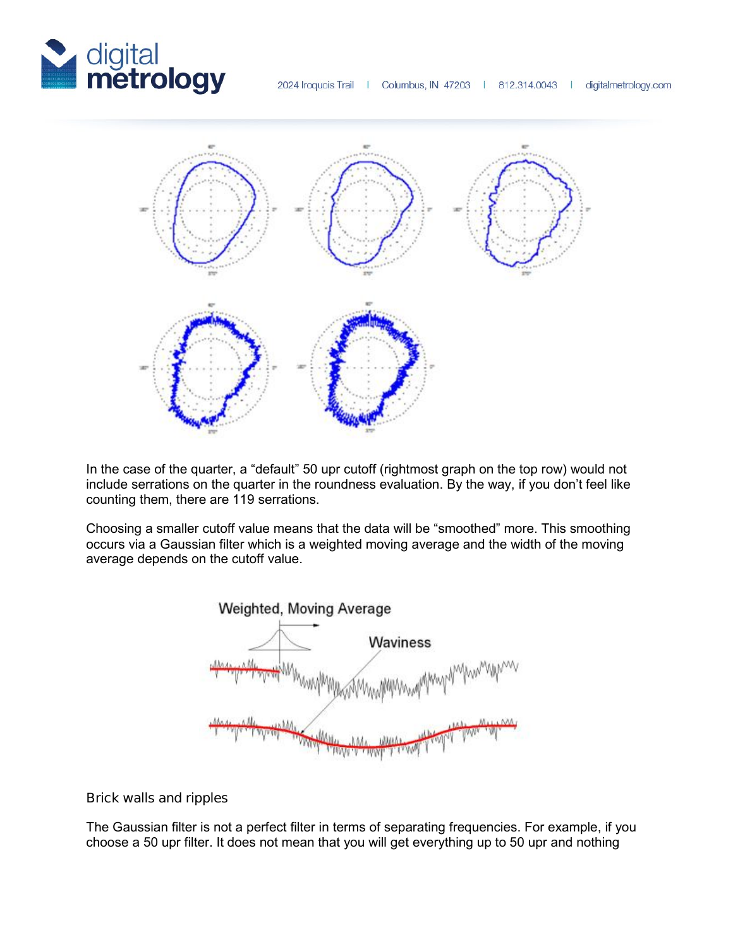



In the case of the quarter, a "default" 50 upr cutoff (rightmost graph on the top row) would not include serrations on the quarter in the roundness evaluation. By the way, if you don't feel like counting them, there are 119 serrations.

Choosing a smaller cutoff value means that the data will be "smoothed" more. This smoothing occurs via a Gaussian filter which is a weighted moving average and the width of the moving average depends on the cutoff value.



#### **Brick walls and ripples**

The Gaussian filter is not a perfect filter in terms of separating frequencies. For example, if you choose a 50 upr filter. It does not mean that you will get everything up to 50 upr and nothing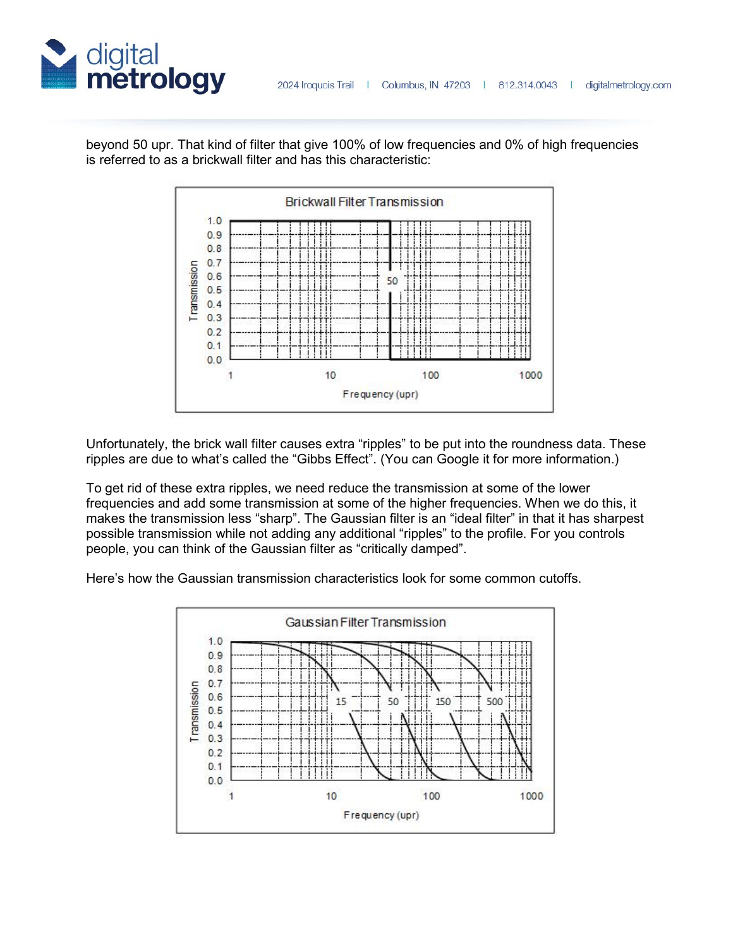



beyond 50 upr. That kind of filter that give 100% of low frequencies and 0% of high frequencies is referred to as a brickwall filter and has this characteristic:

Unfortunately, the brick wall filter causes extra "ripples" to be put into the roundness data. These ripples are due to what's called the "Gibbs Effect". (You can Google it for more information.)

To get rid of these extra ripples, we need reduce the transmission at some of the lower frequencies and add some transmission at some of the higher frequencies. When we do this, it makes the transmission less "sharp". The Gaussian filter is an "ideal filter" in that it has sharpest possible transmission while not adding any additional "ripples" to the profile. For you controls people, you can think of the Gaussian filter as "critically damped".

Here's how the Gaussian transmission characteristics look for some common cutoffs.

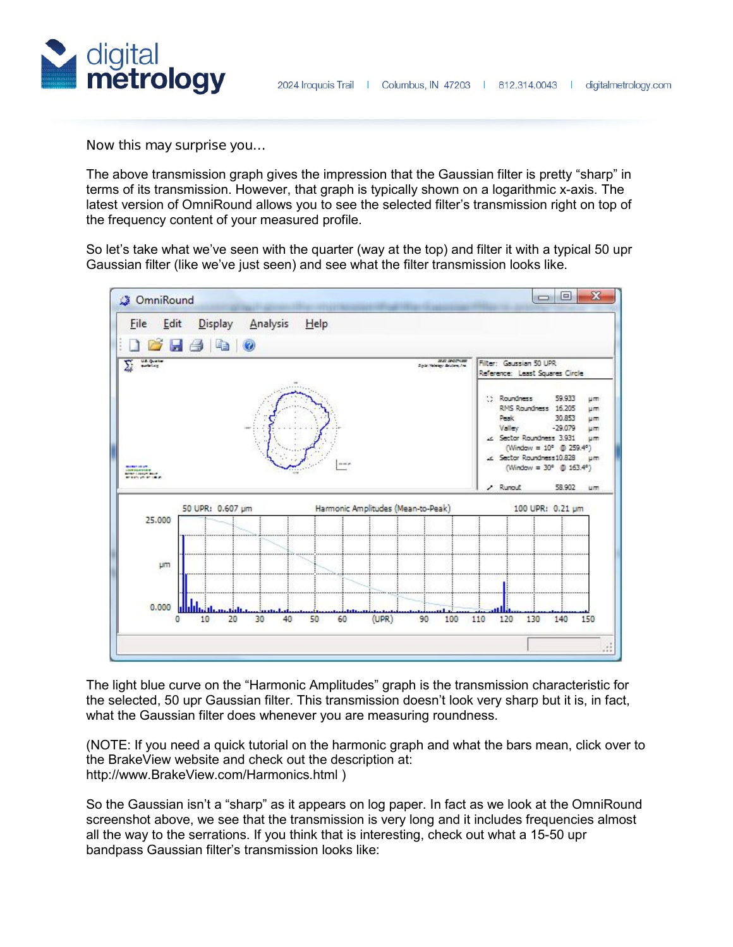

**Now this may surprise you…**

The above transmission graph gives the impression that the Gaussian filter is pretty "sharp" in terms of its transmission. However, that graph is typically shown on a logarithmic x-axis. The latest version of OmniRound allows you to see the selected filter's transmission right on top of the frequency content of your measured profile.

So let's take what we've seen with the quarter (way at the top) and filter it with a typical 50 upr Gaussian filter (like we've just seen) and see what the filter transmission looks like.



The light blue curve on the "Harmonic Amplitudes" graph is the transmission characteristic for the selected, 50 upr Gaussian filter. This transmission doesn't look very sharp but it is, in fact, what the Gaussian filter does whenever you are measuring roundness.

(NOTE: If you need a quick tutorial on the harmonic graph and what the bars mean, click over to the BrakeView website and check out the description at: http://www.BrakeView.com/Harmonics.html )

So the Gaussian isn't a "sharp" as it appears on log paper. In fact as we look at the OmniRound screenshot above, we see that the transmission is very long and it includes frequencies almost all the way to the serrations. If you think that is interesting, check out what a 15-50 upr bandpass Gaussian filter's transmission looks like: